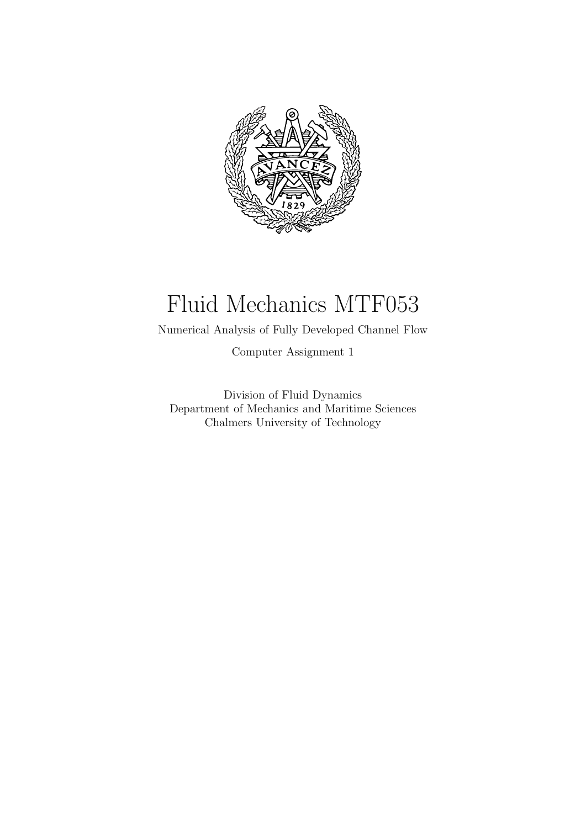

# Fluid Mechanics MTF053

Numerical Analysis of Fully Developed Channel Flow

Computer Assignment 1

Division of Fluid Dynamics Department of Mechanics and Maritime Sciences Chalmers University of Technology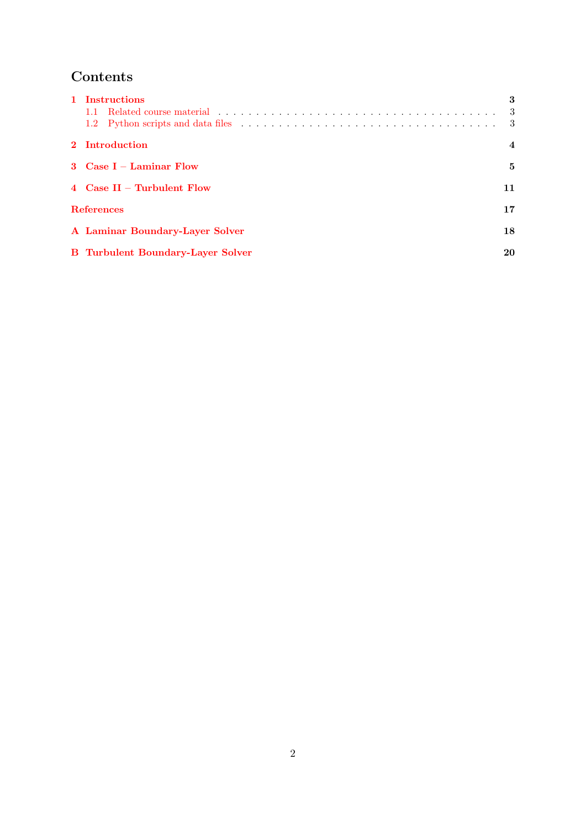## Contents

| 1 Instructions                           | 3   |
|------------------------------------------|-----|
|                                          | -3  |
|                                          | - 3 |
| 2 Introduction                           | 4   |
| 3 Case $I -$ Laminar Flow                | 5   |
| 4 $Case II$ – Turbulent Flow             | 11  |
| <b>References</b>                        | 17  |
| A Laminar Boundary-Layer Solver          | 18  |
| <b>B</b> Turbulent Boundary-Layer Solver | 20  |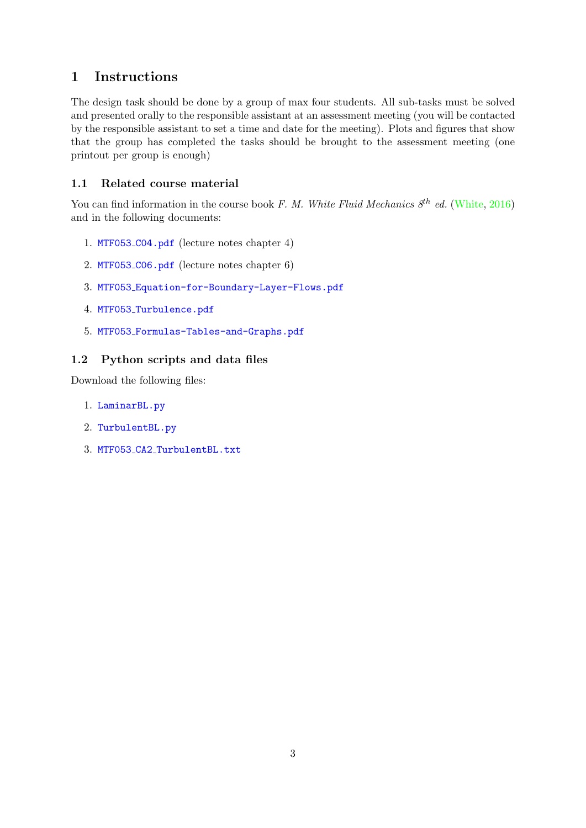## <span id="page-2-0"></span>1 Instructions

The design task should be done by a group of max four students. All sub-tasks must be solved and presented orally to the responsible assistant at an assessment meeting (you will be contacted by the responsible assistant to set a time and date for the meeting). Plots and figures that show that the group has completed the tasks should be brought to the assessment meeting (one printout per group is enough)

## <span id="page-2-1"></span>1.1 Related course material

You can find information in the course book F. M. White Fluid Mechanics  $8^{th}$  ed. [\(White,](#page-16-1) [2016\)](#page-16-1) and in the following documents:

- 1. MTF053 [C04.pdf](https://courses.onlineflowcalculator.com/fluidmech/notes/MTF053_C04.pdf) (lecture notes chapter 4)
- 2. MTF053 [C06.pdf](https://courses.onlineflowcalculator.com/fluidmech/notes/MTF053_C06.pdf) (lecture notes chapter 6)
- 3. MTF053 [Equation-for-Boundary-Layer-Flows.pdf](https://courses.onlineflowcalculator.com/fluidmech/docs/MTF053_Equations-for-Boundary-Layer-Flows.pdf)
- 4. MTF053 [Turbulence.pdf](https://courses.onlineflowcalculator.com/fluidmech/docs/MTF053_Turbulence.pdf)
- 5. MTF053 [Formulas-Tables-and-Graphs.pdf](https://courses.onlineflowcalculator.com/fluidmech/docs/MTF053_Formulas-Tables-and-Graphs.pdf)

## <span id="page-2-2"></span>1.2 Python scripts and data files

Download the following files:

- 1. [LaminarBL.py](https://fluidmech.onlineflowcalculator.com/Assignments/CA1/Downloads/LaminarBL.py)
- 2. [TurbulentBL.py](https://fluidmech.onlineflowcalculator.com/Assignments/CA1/Downloads/TurbulentBL.py)
- 3. MTF053 CA2 [TurbulentBL.txt](https://fluidmech.onlineflowcalculator.com/Assignments/CA1/Downloads/MTF053_CA1_TurbulentBL.txt)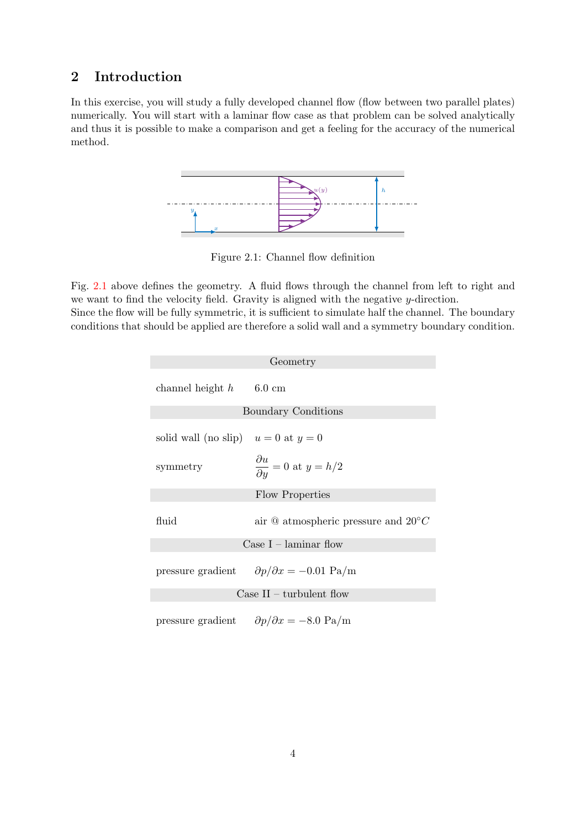## <span id="page-3-0"></span>2 Introduction

<span id="page-3-1"></span>In this exercise, you will study a fully developed channel flow (flow between two parallel plates) numerically. You will start with a laminar flow case as that problem can be solved analytically and thus it is possible to make a comparison and get a feeling for the accuracy of the numerical method.



Figure 2.1: Channel flow definition

Fig. [2.1](#page-3-1) above defines the geometry. A fluid flows through the channel from left to right and we want to find the velocity field. Gravity is aligned with the negative y-direction. Since the flow will be fully symmetric, it is sufficient to simulate half the channel. The boundary conditions that should be applied are therefore a solid wall and a symmetry boundary condition.

| Geometry                                |                                                                |  |  |
|-----------------------------------------|----------------------------------------------------------------|--|--|
| channel height $h = 6.0$ cm             |                                                                |  |  |
| Boundary Conditions                     |                                                                |  |  |
| solid wall (no slip) $u = 0$ at $y = 0$ |                                                                |  |  |
| symmetry                                | $\frac{\partial u}{\partial y} = 0$ at $y = h/2$               |  |  |
| Flow Properties                         |                                                                |  |  |
| fluid                                   | air $\Phi$ atmospheric pressure and $20^{\circ}C$              |  |  |
| Case $I -$ laminar flow                 |                                                                |  |  |
|                                         | pressure gradient $\partial p/\partial x = -0.01 \text{ Pa/m}$ |  |  |
| Case $II$ – turbulent flow              |                                                                |  |  |
|                                         | pressure gradient $\partial p/\partial x = -8.0 \text{ Pa/m}$  |  |  |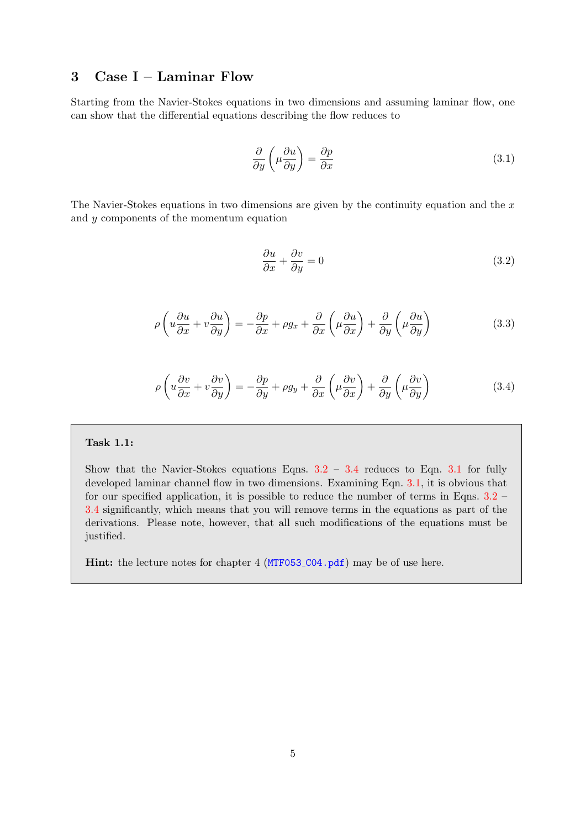## <span id="page-4-0"></span>3 Case I – Laminar Flow

<span id="page-4-3"></span>Starting from the Navier-Stokes equations in two dimensions and assuming laminar flow, one can show that the differential equations describing the flow reduces to

$$
\frac{\partial}{\partial y} \left( \mu \frac{\partial u}{\partial y} \right) = \frac{\partial p}{\partial x} \tag{3.1}
$$

<span id="page-4-1"></span>The Navier-Stokes equations in two dimensions are given by the continuity equation and the  $x$ and y components of the momentum equation

$$
\frac{\partial u}{\partial x} + \frac{\partial v}{\partial y} = 0\tag{3.2}
$$

$$
\rho \left( u \frac{\partial u}{\partial x} + v \frac{\partial u}{\partial y} \right) = -\frac{\partial p}{\partial x} + \rho g_x + \frac{\partial}{\partial x} \left( \mu \frac{\partial u}{\partial x} \right) + \frac{\partial}{\partial y} \left( \mu \frac{\partial u}{\partial y} \right) \tag{3.3}
$$

$$
\rho \left( u \frac{\partial v}{\partial x} + v \frac{\partial v}{\partial y} \right) = -\frac{\partial p}{\partial y} + \rho g_y + \frac{\partial}{\partial x} \left( \mu \frac{\partial v}{\partial x} \right) + \frac{\partial}{\partial y} \left( \mu \frac{\partial v}{\partial y} \right)
$$
(3.4)

## <span id="page-4-2"></span>Task 1.1:

Show that the Navier-Stokes equations Eqns.  $3.2 - 3.4$  $3.2 - 3.4$  $3.2 - 3.4$  reduces to Eqn. [3.1](#page-4-3) for fully developed laminar channel flow in two dimensions. Examining Eqn. [3.1,](#page-4-3) it is obvious that for our specified application, it is possible to reduce the number of terms in Eqns. [3.2](#page-4-1) – [3.4](#page-4-2) significantly, which means that you will remove terms in the equations as part of the derivations. Please note, however, that all such modifications of the equations must be justified.

Hint: the lecture notes for chapter 4 (MTF053\_CO4.pdf) may be of use here.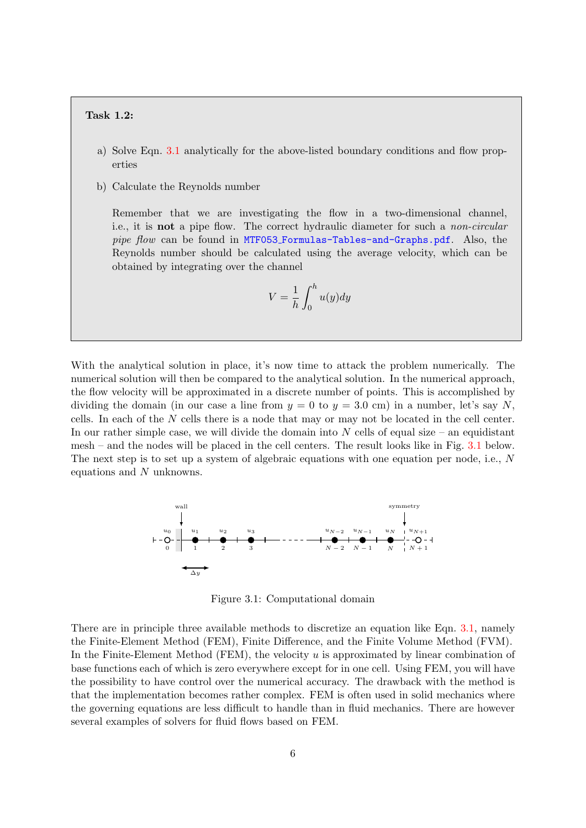#### Task 1.2:

- a) Solve Eqn. [3.1](#page-4-3) analytically for the above-listed boundary conditions and flow properties
- b) Calculate the Reynolds number

Remember that we are investigating the flow in a two-dimensional channel, i.e., it is not a pipe flow. The correct hydraulic diameter for such a non-circular pipe flow can be found in MTF053 [Formulas-Tables-and-Graphs.pdf](https://courses.onlineflowcalculator.com/fluidmech/docs/MTF053_Formulas-Tables-and-Graphs.pdf). Also, the Reynolds number should be calculated using the average velocity, which can be obtained by integrating over the channel

$$
V = \frac{1}{h} \int_0^h u(y) dy
$$

With the analytical solution in place, it's now time to attack the problem numerically. The numerical solution will then be compared to the analytical solution. In the numerical approach, the flow velocity will be approximated in a discrete number of points. This is accomplished by dividing the domain (in our case a line from  $y = 0$  to  $y = 3.0$  cm) in a number, let's say N, cells. In each of the N cells there is a node that may or may not be located in the cell center. In our rather simple case, we will divide the domain into  $N$  cells of equal size – an equidistant mesh – and the nodes will be placed in the cell centers. The result looks like in Fig. [3.1](#page-5-0) below. The next step is to set up a system of algebraic equations with one equation per node, i.e.,  $N$ equations and N unknowns.

<span id="page-5-0"></span>

Figure 3.1: Computational domain

There are in principle three available methods to discretize an equation like Eqn. [3.1,](#page-4-3) namely the Finite-Element Method (FEM), Finite Difference, and the Finite Volume Method (FVM). In the Finite-Element Method (FEM), the velocity  $u$  is approximated by linear combination of base functions each of which is zero everywhere except for in one cell. Using FEM, you will have the possibility to have control over the numerical accuracy. The drawback with the method is that the implementation becomes rather complex. FEM is often used in solid mechanics where the governing equations are less difficult to handle than in fluid mechanics. There are however several examples of solvers for fluid flows based on FEM.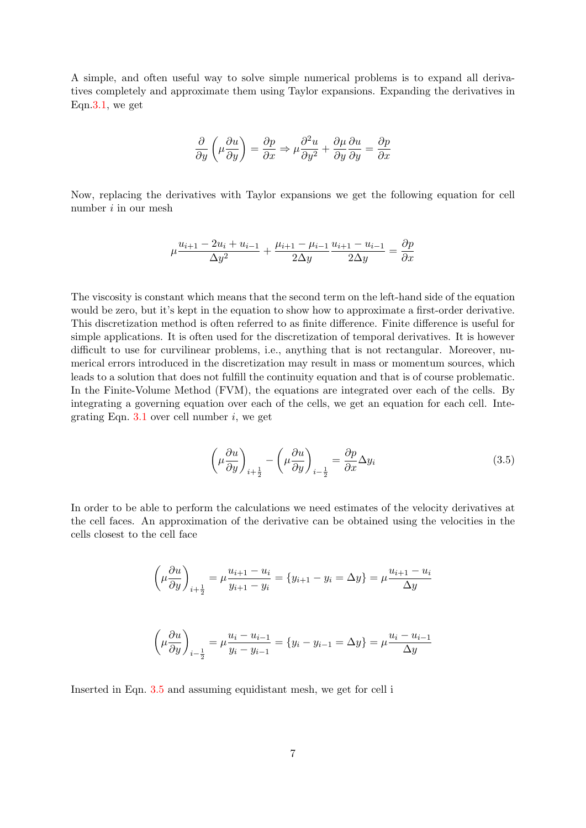A simple, and often useful way to solve simple numerical problems is to expand all derivatives completely and approximate them using Taylor expansions. Expanding the derivatives in Eqn[.3.1,](#page-4-3) we get

$$
\frac{\partial}{\partial y}\left(\mu \frac{\partial u}{\partial y}\right) = \frac{\partial p}{\partial x} \Rightarrow \mu \frac{\partial^2 u}{\partial y^2} + \frac{\partial \mu}{\partial y} \frac{\partial u}{\partial y} = \frac{\partial p}{\partial x}
$$

Now, replacing the derivatives with Taylor expansions we get the following equation for cell number i in our mesh

$$
\mu \frac{u_{i+1} - 2u_i + u_{i-1}}{\Delta y^2} + \frac{\mu_{i+1} - \mu_{i-1}}{2\Delta y} \frac{u_{i+1} - u_{i-1}}{2\Delta y} = \frac{\partial p}{\partial x}
$$

The viscosity is constant which means that the second term on the left-hand side of the equation would be zero, but it's kept in the equation to show how to approximate a first-order derivative. This discretization method is often referred to as finite difference. Finite difference is useful for simple applications. It is often used for the discretization of temporal derivatives. It is however difficult to use for curvilinear problems, i.e., anything that is not rectangular. Moreover, numerical errors introduced in the discretization may result in mass or momentum sources, which leads to a solution that does not fulfill the continuity equation and that is of course problematic. In the Finite-Volume Method (FVM), the equations are integrated over each of the cells. By integrating a governing equation over each of the cells, we get an equation for each cell. Integrating Eqn.  $3.1$  over cell number i, we get

$$
\left(\mu \frac{\partial u}{\partial y}\right)_{i+\frac{1}{2}} - \left(\mu \frac{\partial u}{\partial y}\right)_{i-\frac{1}{2}} = \frac{\partial p}{\partial x} \Delta y_i
$$
\n(3.5)

<span id="page-6-0"></span>In order to be able to perform the calculations we need estimates of the velocity derivatives at the cell faces. An approximation of the derivative can be obtained using the velocities in the cells closest to the cell face

$$
\left(\mu \frac{\partial u}{\partial y}\right)_{i+\frac{1}{2}} = \mu \frac{u_{i+1} - u_i}{y_{i+1} - y_i} = \{y_{i+1} - y_i = \Delta y\} = \mu \frac{u_{i+1} - u_i}{\Delta y}
$$

$$
\left(\mu \frac{\partial u}{\partial y}\right)_{i-\frac{1}{2}} = \mu \frac{u_i - u_{i-1}}{y_i - y_{i-1}} = \{y_i - y_{i-1} = \Delta y\} = \mu \frac{u_i - u_{i-1}}{\Delta y}
$$

Inserted in Eqn. [3.5](#page-6-0) and assuming equidistant mesh, we get for cell i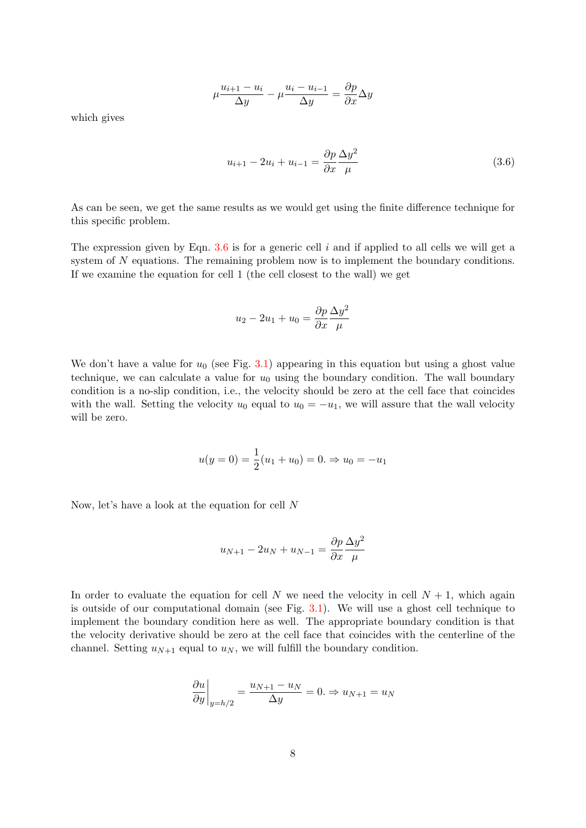$$
\mu \frac{u_{i+1} - u_i}{\Delta y} - \mu \frac{u_i - u_{i-1}}{\Delta y} = \frac{\partial p}{\partial x} \Delta y
$$

<span id="page-7-0"></span>which gives

$$
u_{i+1} - 2u_i + u_{i-1} = \frac{\partial p}{\partial x} \frac{\Delta y^2}{\mu}
$$
\n(3.6)

As can be seen, we get the same results as we would get using the finite difference technique for this specific problem.

The expression given by Eqn.  $3.6$  is for a generic cell i and if applied to all cells we will get a system of N equations. The remaining problem now is to implement the boundary conditions. If we examine the equation for cell 1 (the cell closest to the wall) we get

$$
u_2 - 2u_1 + u_0 = \frac{\partial p}{\partial x} \frac{\Delta y^2}{\mu}
$$

We don't have a value for  $u_0$  (see Fig. [3.1\)](#page-5-0) appearing in this equation but using a ghost value technique, we can calculate a value for  $u_0$  using the boundary condition. The wall boundary condition is a no-slip condition, i.e., the velocity should be zero at the cell face that coincides with the wall. Setting the velocity  $u_0$  equal to  $u_0 = -u_1$ , we will assure that the wall velocity will be zero.

$$
u(y = 0) = \frac{1}{2}(u_1 + u_0) = 0. \Rightarrow u_0 = -u_1
$$

Now, let's have a look at the equation for cell N

$$
u_{N+1} - 2u_N + u_{N-1} = \frac{\partial p}{\partial x} \frac{\Delta y^2}{\mu}
$$

In order to evaluate the equation for cell N we need the velocity in cell  $N + 1$ , which again is outside of our computational domain (see Fig. [3.1\)](#page-5-0). We will use a ghost cell technique to implement the boundary condition here as well. The appropriate boundary condition is that the velocity derivative should be zero at the cell face that coincides with the centerline of the channel. Setting  $u_{N+1}$  equal to  $u_N$ , we will fulfill the boundary condition.

$$
\left. \frac{\partial u}{\partial y} \right|_{y=h/2} = \frac{u_{N+1} - u_N}{\Delta y} = 0. \Rightarrow u_{N+1} = u_N
$$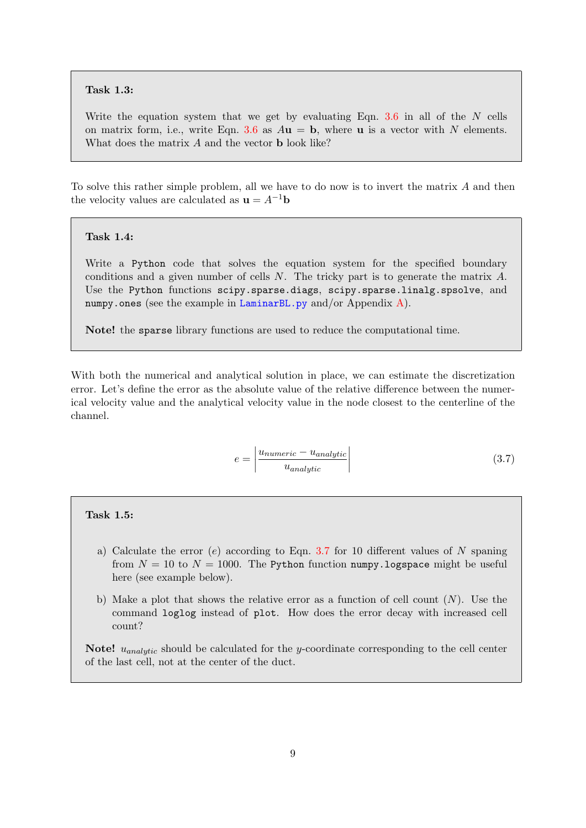#### Task 1.3:

Write the equation system that we get by evaluating Eqn. [3.6](#page-7-0) in all of the  $N$  cells on matrix form, i.e., write Eqn. [3.6](#page-7-0) as  $A\mathbf{u} = \mathbf{b}$ , where **u** is a vector with N elements. What does the matrix A and the vector **b** look like?

To solve this rather simple problem, all we have to do now is to invert the matrix A and then the velocity values are calculated as  $\mathbf{u} = A^{-1}\mathbf{b}$ 

#### Task 1.4:

Write a Python code that solves the equation system for the specified boundary conditions and a given number of cells N. The tricky part is to generate the matrix A. Use the Python functions scipy.sparse.diags, scipy.sparse.linalg.spsolve, and numpy.ones (see the example in [LaminarBL.py](https://fluidmech.onlineflowcalculator.com/Assignments/CA1/Downloads/LaminarBL.py) and/or Appendix  $A$ ).

Note! the sparse library functions are used to reduce the computational time.

<span id="page-8-0"></span>With both the numerical and analytical solution in place, we can estimate the discretization error. Let's define the error as the absolute value of the relative difference between the numerical velocity value and the analytical velocity value in the node closest to the centerline of the channel.

$$
e = \left| \frac{u_{numeric} - u_{analytic}}{u_{analytic}} \right| \tag{3.7}
$$

#### Task 1.5:

- a) Calculate the error  $(e)$  according to Eqn. [3.7](#page-8-0) for 10 different values of N spaning from  $N = 10$  to  $N = 1000$ . The Python function numpy. logspace might be useful here (see example below).
- b) Make a plot that shows the relative error as a function of cell count  $(N)$ . Use the command loglog instead of plot. How does the error decay with increased cell count?

**Note!**  $u_{analytic}$  should be calculated for the y-coordinate corresponding to the cell center of the last cell, not at the center of the duct.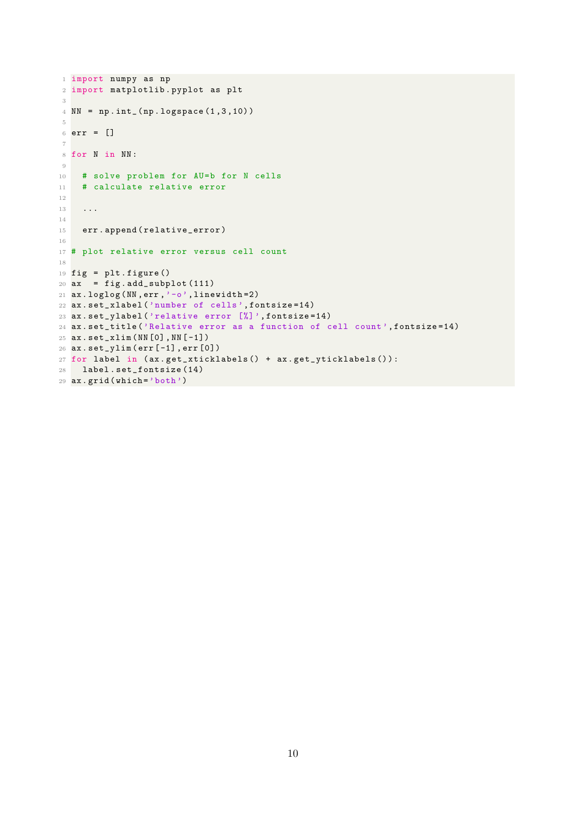```
1 import numpy as np
2 import matplotlib . pyplot as plt
3
4 NN = np . int_ ( np . logspace (1 ,3 ,10) )
5
6 err = []
7
8 for N in NN :
9
10 # solve problem for AU=b for N cells
11 # calculate relative error
12
13 ...
14
15 err.append (relative_error)
16
17 # plot relative error versus cell count
18
19 fig = plt.figure()
20 ax = fig.add\_subplot(111)21 ax . loglog ( NN , err ,'-o', linewidth =2)
22 ax . set_xlabel ('number of cells ', fontsize =14)
23 ax . set_ylabel ('relative error [%] ', fontsize =14)
24 ax . set_title ('Relative error as a function of cell count ', fontsize =14)
25 ax . set_xlim ( NN [0] , NN [ -1])
26 ax . set_ylim ( err [ -1] , err [0])
27 for label in ( ax . get_xticklabels () + ax . get_yticklabels () ) :
28 label . set_fontsize (14)
29 ax.grid (which='both')
```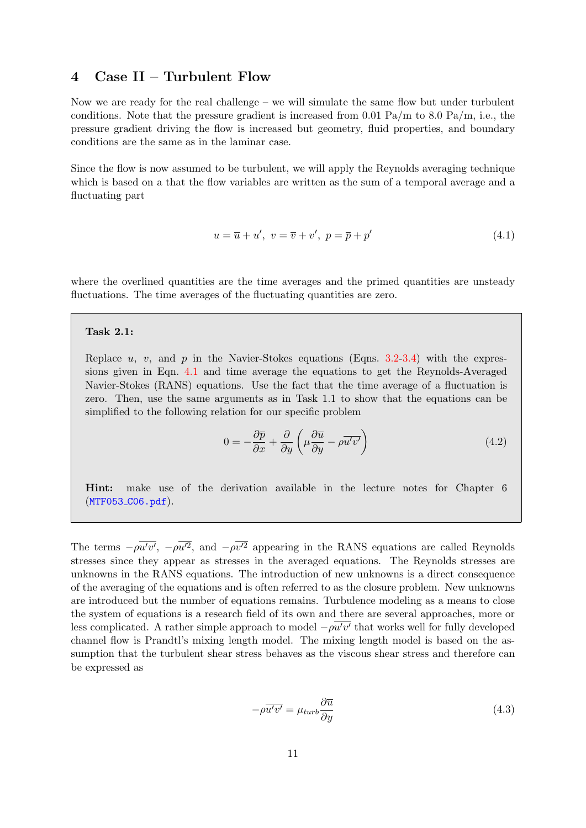## <span id="page-10-0"></span>4 Case II – Turbulent Flow

Now we are ready for the real challenge – we will simulate the same flow but under turbulent conditions. Note that the pressure gradient is increased from 0.01 Pa/m to 8.0 Pa/m, i.e., the pressure gradient driving the flow is increased but geometry, fluid properties, and boundary conditions are the same as in the laminar case.

<span id="page-10-1"></span>Since the flow is now assumed to be turbulent, we will apply the Reynolds averaging technique which is based on a that the flow variables are written as the sum of a temporal average and a fluctuating part

$$
u = \overline{u} + u', \ v = \overline{v} + v', \ p = \overline{p} + p'
$$
\n
$$
(4.1)
$$

where the overlined quantities are the time averages and the primed quantities are unsteady fluctuations. The time averages of the fluctuating quantities are zero.

#### Task 2.1:

Replace u, v, and p in the Navier-Stokes equations (Eqns.  $3.2\n-3.4$  $3.2\n-3.4$ ) with the expressions given in Eqn. [4.1](#page-10-1) and time average the equations to get the Reynolds-Averaged Navier-Stokes (RANS) equations. Use the fact that the time average of a fluctuation is zero. Then, use the same arguments as in Task 1.1 to show that the equations can be simplified to the following relation for our specific problem

$$
0 = -\frac{\partial \overline{p}}{\partial x} + \frac{\partial}{\partial y} \left( \mu \frac{\partial \overline{u}}{\partial y} - \rho \overline{u'v'} \right)
$$
(4.2)

Hint: make use of the derivation available in the lecture notes for Chapter 6  $(MTF053_C06.pdf$  $(MTF053_C06.pdf$ .

The terms  $-\rho \overline{u'v'}$ ,  $-\rho \overline{u'^2}$ , and  $-\rho \overline{v'^2}$  appearing in the RANS equations are called Reynolds stresses since they appear as stresses in the averaged equations. The Reynolds stresses are unknowns in the RANS equations. The introduction of new unknowns is a direct consequence of the averaging of the equations and is often referred to as the closure problem. New unknowns are introduced but the number of equations remains. Turbulence modeling as a means to close the system of equations is a research field of its own and there are several approaches, more or less complicated. A rather simple approach to model  $-\rho \overline{u'v'}$  that works well for fully developed channel flow is Prandtl's mixing length model. The mixing length model is based on the assumption that the turbulent shear stress behaves as the viscous shear stress and therefore can be expressed as

$$
-\rho \overline{u'v'} = \mu_{turb} \frac{\partial \overline{u}}{\partial y}
$$
\n(4.3)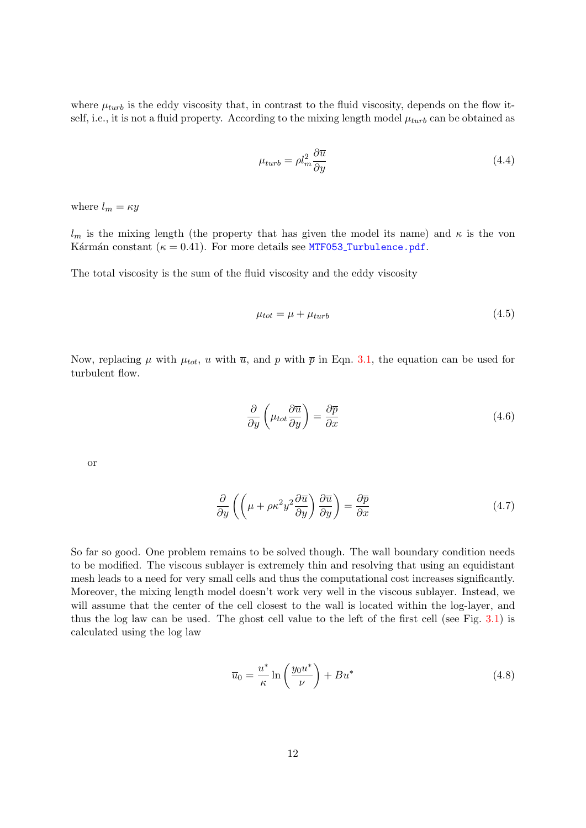where  $\mu_{turb}$  is the eddy viscosity that, in contrast to the fluid viscosity, depends on the flow itself, i.e., it is not a fluid property. According to the mixing length model  $\mu_{turb}$  can be obtained as

$$
\mu_{turb} = \rho l_m^2 \frac{\partial \overline{u}}{\partial y} \tag{4.4}
$$

where  $l_m = \kappa y$ 

 $l_m$  is the mixing length (the property that has given the model its name) and  $\kappa$  is the von Kármán constant ( $\kappa = 0.41$ ). For more details see MTF053\_[Turbulence.pdf](https://courses.onlineflowcalculator.com/fluidmech/docs/MTF053_Turbulence.pdf).

The total viscosity is the sum of the fluid viscosity and the eddy viscosity

$$
\mu_{tot} = \mu + \mu_{turb} \tag{4.5}
$$

Now, replacing  $\mu$  with  $\mu_{tot}$ , u with  $\overline{u}$ , and p with  $\overline{p}$  in Eqn. [3.1,](#page-4-3) the equation can be used for turbulent flow.

$$
\frac{\partial}{\partial y} \left( \mu_{tot} \frac{\partial \overline{u}}{\partial y} \right) = \frac{\partial \overline{p}}{\partial x}
$$
\n(4.6)

<span id="page-11-0"></span>or

$$
\frac{\partial}{\partial y} \left( \left( \mu + \rho \kappa^2 y^2 \frac{\partial \overline{u}}{\partial y} \right) \frac{\partial \overline{u}}{\partial y} \right) = \frac{\partial \overline{p}}{\partial x} \tag{4.7}
$$

So far so good. One problem remains to be solved though. The wall boundary condition needs to be modified. The viscous sublayer is extremely thin and resolving that using an equidistant mesh leads to a need for very small cells and thus the computational cost increases significantly. Moreover, the mixing length model doesn't work very well in the viscous sublayer. Instead, we will assume that the center of the cell closest to the wall is located within the log-layer, and thus the log law can be used. The ghost cell value to the left of the first cell (see Fig. [3.1\)](#page-5-0) is calculated using the log law

$$
\overline{u}_0 = \frac{u^*}{\kappa} \ln \left( \frac{y_0 u^*}{\nu} \right) + B u^* \tag{4.8}
$$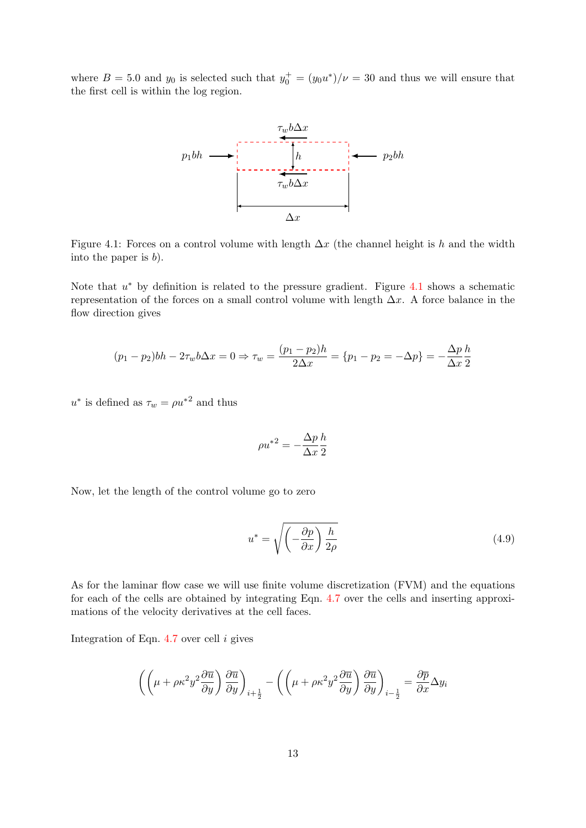<span id="page-12-0"></span>where  $B = 5.0$  and  $y_0$  is selected such that  $y_0^+ = (y_0 u^*)/\nu = 30$  and thus we will ensure that the first cell is within the log region.



Figure 4.1: Forces on a control volume with length  $\Delta x$  (the channel height is h and the width into the paper is  $b$ ).

Note that  $u^*$  by definition is related to the pressure gradient. Figure [4.1](#page-12-0) shows a schematic representation of the forces on a small control volume with length  $\Delta x$ . A force balance in the flow direction gives

$$
(p_1 - p_2)bh - 2\tau_w b\Delta x = 0 \Rightarrow \tau_w = \frac{(p_1 - p_2)h}{2\Delta x} = \{p_1 - p_2 = -\Delta p\} = -\frac{\Delta p}{\Delta x} \frac{h}{2}
$$

 $u^*$  is defined as  $\tau_w = \rho u^{*2}$  and thus

$$
\rho u^{*2} = -\frac{\Delta p}{\Delta x} \frac{h}{2}
$$

Now, let the length of the control volume go to zero

$$
u^* = \sqrt{\left(-\frac{\partial p}{\partial x}\right)\frac{h}{2\rho}}
$$
\n(4.9)

As for the laminar flow case we will use finite volume discretization (FVM) and the equations for each of the cells are obtained by integrating Eqn. [4.7](#page-11-0) over the cells and inserting approximations of the velocity derivatives at the cell faces.

Integration of Eqn.  $4.7$  over cell i gives

$$
\left( \left( \mu + \rho \kappa^2 y^2 \frac{\partial \overline{u}}{\partial y} \right) \frac{\partial \overline{u}}{\partial y} \right)_{i + \frac{1}{2}} - \left( \left( \mu + \rho \kappa^2 y^2 \frac{\partial \overline{u}}{\partial y} \right) \frac{\partial \overline{u}}{\partial y} \right)_{i - \frac{1}{2}} = \frac{\partial \overline{p}}{\partial x} \Delta y_i
$$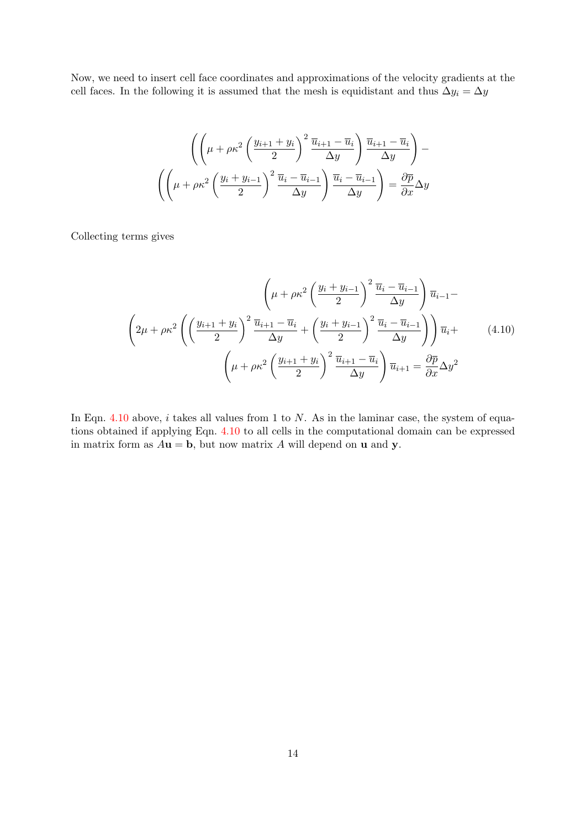Now, we need to insert cell face coordinates and approximations of the velocity gradients at the cell faces. In the following it is assumed that the mesh is equidistant and thus  $\Delta y_i = \Delta y$ 

$$
\left( \left( \mu + \rho \kappa^2 \left( \frac{y_{i+1} + y_i}{2} \right)^2 \frac{\overline{u}_{i+1} - \overline{u}_i}{\Delta y} \right) \frac{\overline{u}_{i+1} - \overline{u}_i}{\Delta y} \right) - \left( \left( \mu + \rho \kappa^2 \left( \frac{y_i + y_{i-1}}{2} \right)^2 \frac{\overline{u}_i - \overline{u}_{i-1}}{\Delta y} \right) \frac{\overline{u}_i - \overline{u}_{i-1}}{\Delta y} \right) = \frac{\partial \overline{p}}{\partial x} \Delta y
$$

<span id="page-13-0"></span>Collecting terms gives

$$
\left(\mu + \rho \kappa^2 \left(\frac{y_i + y_{i-1}}{2}\right)^2 \frac{\overline{u}_i - \overline{u}_{i-1}}{\Delta y}\right) \overline{u}_{i-1} - \left(2\mu + \rho \kappa^2 \left(\frac{y_{i+1} + y_i}{2}\right)^2 \frac{\overline{u}_{i+1} - \overline{u}_i}{\Delta y} + \left(\frac{y_i + y_{i-1}}{2}\right)^2 \frac{\overline{u}_i - \overline{u}_{i-1}}{\Delta y}\right)\right) \overline{u}_i + \left(\mu + \rho \kappa^2 \left(\frac{y_{i+1} + y_i}{2}\right)^2 \frac{\overline{u}_{i+1} - \overline{u}_i}{\Delta y}\right) \overline{u}_{i+1} = \frac{\partial \overline{p}}{\partial x} \Delta y^2
$$
\n(4.10)

In Eqn. [4.10](#page-13-0) above,  $i$  takes all values from 1 to  $N$ . As in the laminar case, the system of equations obtained if applying Eqn. [4.10](#page-13-0) to all cells in the computational domain can be expressed in matrix form as  $A\mathbf{u} = \mathbf{b}$ , but now matrix A will depend on **u** and **y**.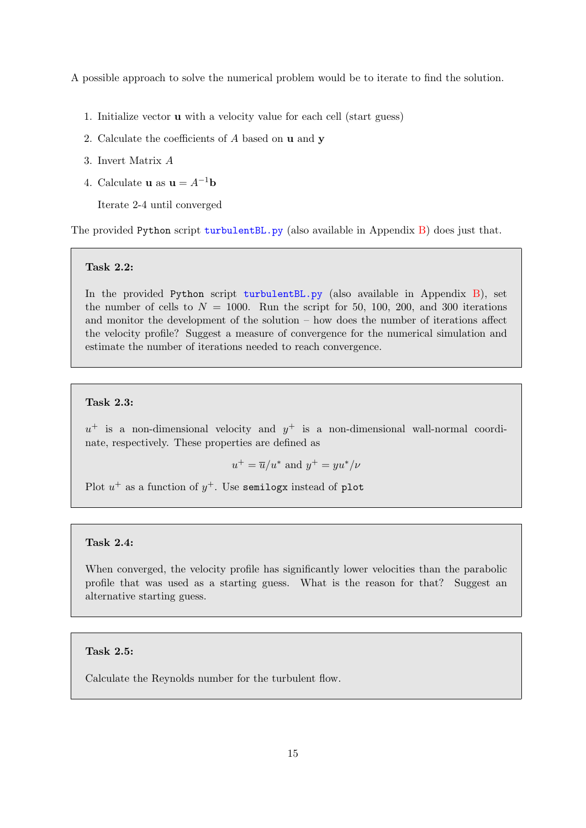A possible approach to solve the numerical problem would be to iterate to find the solution.

- 1. Initialize vector u with a velocity value for each cell (start guess)
- 2. Calculate the coefficients of  $A$  based on  $\bf{u}$  and  $\bf{y}$
- 3. Invert Matrix A
- 4. Calculate **u** as  $\mathbf{u} = A^{-1}\mathbf{b}$

Iterate 2-4 until converged

The provided Python script [turbulentBL.py](https://fluidmech.onlineflowcalculator.com/Assignments/CA1/Downloads/turbulentBL.py) (also available in Appendix  $B$ ) does just that.

#### Task 2.2:

In the provided Python script [turbulentBL.py](https://fluidmech.onlineflowcalculator.com/Assignments/CA1/Downloads/turbulentBL.py) (also available in Appendix [B\)](#page-19-0), set the number of cells to  $N = 1000$ . Run the script for 50, 100, 200, and 300 iterations and monitor the development of the solution – how does the number of iterations affect the velocity profile? Suggest a measure of convergence for the numerical simulation and estimate the number of iterations needed to reach convergence.

### Task 2.3:

 $u^+$  is a non-dimensional velocity and  $y^+$  is a non-dimensional wall-normal coordinate, respectively. These properties are defined as

$$
u^+ = \overline{u}/u^*
$$
 and  $y^+ = yu^*/\nu$ 

Plot  $u^+$  as a function of  $y^+$ . Use semilogx instead of plot

#### Task 2.4:

When converged, the velocity profile has significantly lower velocities than the parabolic profile that was used as a starting guess. What is the reason for that? Suggest an alternative starting guess.

#### Task 2.5:

Calculate the Reynolds number for the turbulent flow.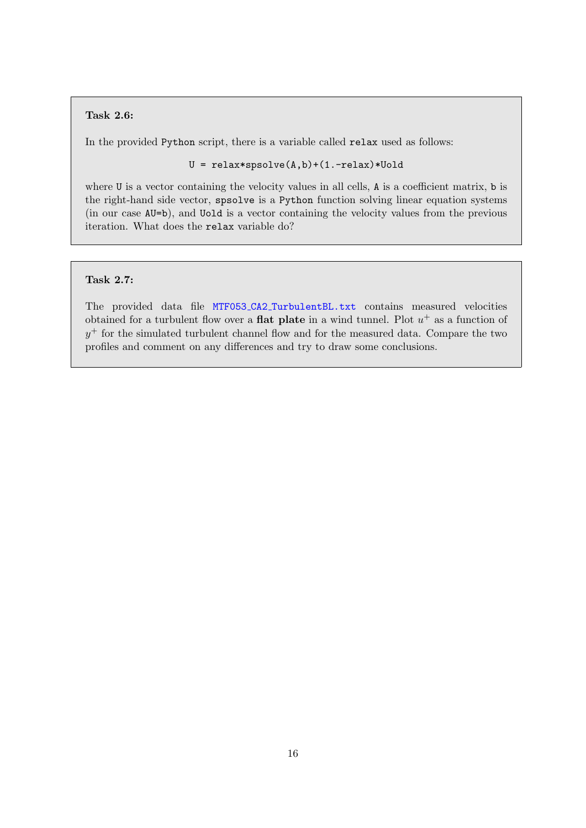## Task 2.6:

In the provided Python script, there is a variable called relax used as follows:

U = relax\*spsolve(A,b)+(1.-relax)\*Uold

where U is a vector containing the velocity values in all cells, A is a coefficient matrix, b is the right-hand side vector, spsolve is a Python function solving linear equation systems (in our case AU=b), and Uold is a vector containing the velocity values from the previous iteration. What does the relax variable do?

## Task 2.7:

The provided data file MTF053 CA2 [TurbulentBL.txt](https://fluidmech.onlineflowcalculator.com/Assignments/CA1/Downloads/MTF053_CA1_TurbulentBL.txt) contains measured velocities obtained for a turbulent flow over a **flat plate** in a wind tunnel. Plot  $u^+$  as a function of  $y^+$  for the simulated turbulent channel flow and for the measured data. Compare the two profiles and comment on any differences and try to draw some conclusions.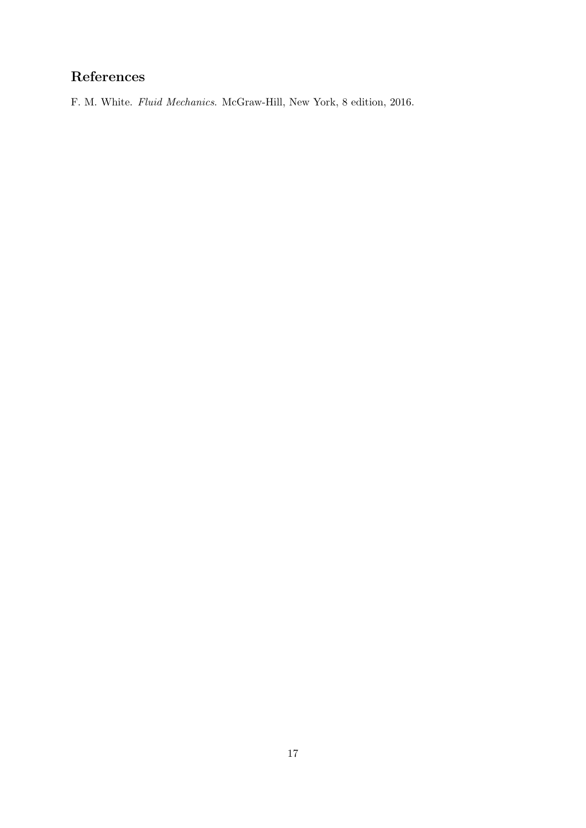# <span id="page-16-0"></span>References

<span id="page-16-1"></span>F. M. White. Fluid Mechanics. McGraw-Hill, New York, 8 edition, 2016.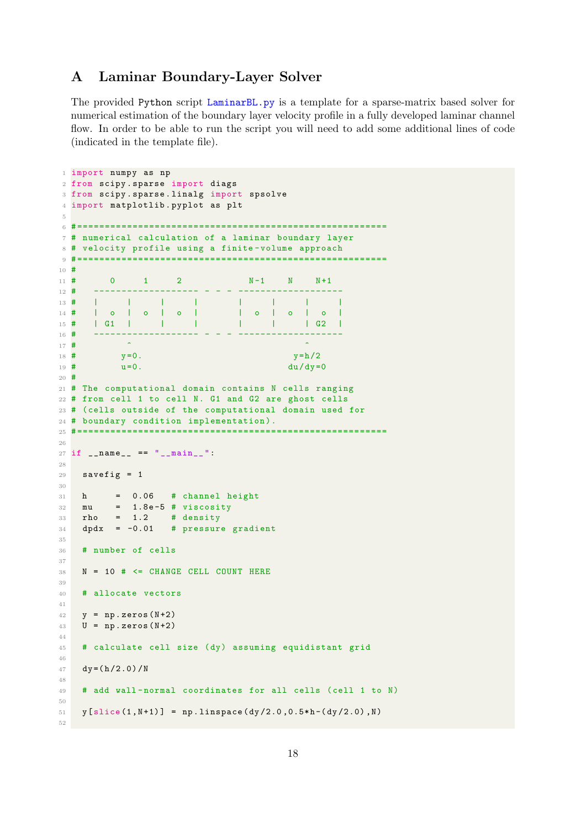## <span id="page-17-0"></span>A Laminar Boundary-Layer Solver

The provided Python script [LaminarBL.py](https://fluidmech.onlineflowcalculator.com/Assignments/CA1/Downloads/LaminarBL.py) is a template for a sparse-matrix based solver for numerical estimation of the boundary layer velocity profile in a fully developed laminar channel flow. In order to be able to run the script you will need to add some additional lines of code (indicated in the template file).

```
1 import numpy as np
2 from scipy . sparse import diags
3 from scipy . sparse . linalg import spsolve
4 import matplotlib . pyplot as plt
5
6 # ========================================================
7 # numerical calculation of a laminar boundary layer
8 # velocity profile using a finite - volume approach
9 # ========================================================
10 #
11 # 0 1 2 N-1 N N+1
12 # ------------------- - - - -------------------
13 # | | | | | | | | | | | |
14 | o | o | o | o | o | o |<br>15 # | G1 | | | | | | | | | G2 |
15 # | G1 | | | | | | | | | | G2 |
16 # ------------------- - - - -------------------
17 # ^ ^
18 \text{ #} y=0. y=h/2
19 \# u=0. \frac{du}{dy} = 020 #
21 # The computational domain contains N cells ranging
22 # from cell 1 to cell N. G1 and G2 are ghost cells
23 # ( cells outside of the computational domain used for
24 # boundary condition implementation ).
25 # ========================================================
26
27 if \text{__name__} == " \text{__main__}":28
29 savefig = 130
31 h = 0.06 # channel height
32 mu = 1.8e-5 # viscosity
33 rho = 1.2 # density
34 dpdx = -0.01 # pressure gradient
35
36 # number of cells
37
38 N = 10 # <= CHANGE CELL COUNT HERE
39
40 # allocate vectors
41
42 \quad v = np \cdot zeros(N+2)43 U = np. zeros (N+2)44
45 # calculate cell size (dy) assuming equidistant grid
46
47 dy = (h/2.0)/N
48
49 # add wall-normal coordinates for all cells (cell 1 to N)
50
51 \text{ y } [ \text{slice } (1, N+1) ] = \text{np } \text{.} \text{linspace } (\text{dy}/2.0, 0.5*h-(\text{dy}/2.0), N)52
```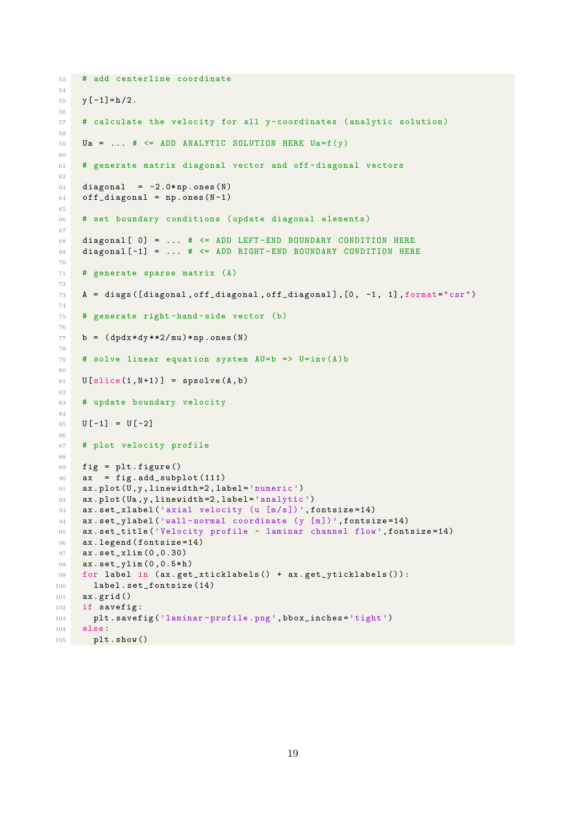```
53 # add centerline coordinate
54
55 y [-1] = h/2.
56
57 # calculate the velocity for all y- coordinates ( analytic solution )
58
59 Ua = ... # <= ADD ANALYTIC SOLUTION HERE Ua=f(y)
60
61 # generate matrix diagonal vector and off - diagonal vectors
62
63 diagonal = -2.0*np.ones (N)
64 off_diagonal = np.ones (N-1)
65
66 # set boundary conditions ( update diagonal elements )
67
68 diagonal [0] = ... # \leq AND LEFT-END BOUNDARY CONDITION HERE69 diagonal [ -1] = ... # <= ADD RIGHT -END BOUNDARY CONDITION HERE
70
71 # generate sparse matrix (A)
72
73 A = diags ([diagonal , off_diagonal , off_diagonal], [0, -1, 1], format="csr")
74
75 # generate right -hand - side vector (b)
76
77 b = (dpdx * dy **2/mu) * np \cdot ones(N)78
79 # solve linear equation system AU=b = U=inv(A)b80
81 U[ slice (1, N+1) ] = spsolve (A, b)82
83 # update boundary velocity
84
85 \text{ U } [-1] = \text{U } [-2]86
87 # plot velocity profile
88
89 fig = plt . figure ()
90 ax = fig.add\_subplot(111)91 ax.plot (U, y, 1inewidth=2, label='numeric')
92 ax.plot (Ua, y, linewidth=2, label='analytic')
93 ax.set_xlabel ('axial velocity (u [m/s])', fontsize=14)
94 ax.set_ylabel ('wall-normal coordinate (y [m])', fontsize=14)
95 ax.set_title ('Velocity profile - laminar channel flow', fontsize=14)
96 ax. legend (fontsize=14)
97 ax . set_xlim (0 ,0.30)
98 ax.set_ylim (0,0.5*h)
99 for label in (ax.get_xticklabels() + ax.get_yticklabels()):
100 label.set_fontsize (14)
101 ax . grid ()
102 if savefig:
103 plt.savefig ('laminar-profile.png', bbox_inches='tight')
104 else :
105 plt . show ()
```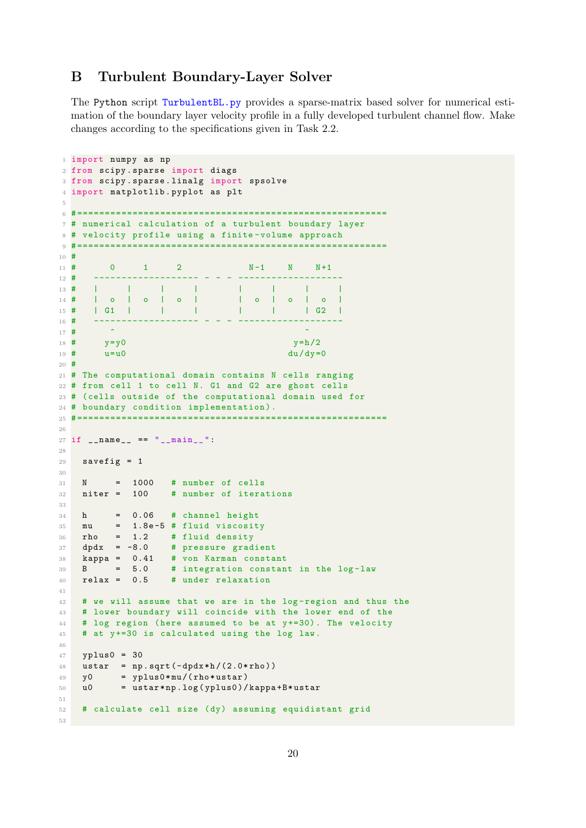## <span id="page-19-0"></span>B Turbulent Boundary-Layer Solver

The Python script [TurbulentBL.py](https://fluidmech.onlineflowcalculator.com/Assignments/CA1/Downloads/TurbulentBL.py) provides a sparse-matrix based solver for numerical estimation of the boundary layer velocity profile in a fully developed turbulent channel flow. Make changes according to the specifications given in Task 2.2.

```
1 import numpy as np
2 from scipy . sparse import diags
3 from scipy . sparse . linalg import spsolve
4 import matplotlib . pyplot as plt
5
6 # ========================================================
7 # numerical calculation of a turbulent boundary layer
8 # velocity profile using a finite - volume approach
9 # ========================================================
10 #
11 # 0 1 2 N-1 N N+1
12 # ------------------- - - - -------------------
13 \# | | | | | | |
14 # | o | o | o | | o | o | o |
15 # | G1 | | | | | | | | | G2 |
16 # ------------------- - - - -------------------
17 \# \qquad \qquad \hat{}18 # y=y0 y=h/219 \frac{\text{#}}{\text{#}} u=u0 du/dy=0
20 #
21 # The computational domain contains N cells ranging
22 # from cell 1 to cell N. G1 and G2 are ghost cells
23 # ( cells outside of the computational domain used for
24 # boundary condition implementation ).
25 # ========================================================
2627 if \text{_name} = \text{ =} "\text{__main}.":
28
29 savefig = 130
31 N = 1000 # number of cells
32 niter = 100 # number of iterations
33
34 h = 0.06 # channel height
35 mu = 1.8e-5 # fluid viscosity
36 rho = 1.2 # fluid density
37 dpdx = -8.0 # pressure gradient<br>38 kappa = 0.41 # von Karman consta<br>39 B = 5.0 # integration const
38 kappa = 0.41 # von Karman constant
39 B = 5.0 # integration constant in the log-law
40 relax = 0.5 # under relaxation
41
42 # we will assume that we are in the log - region and thus the
43 # lower boundary will coincide with the lower end of the
44 # log region (here assumed to be at y+=30). The velocity
45 # at y +=30 is calculated using the log law.
46
47 yplus0 = 30
48 ustar = np.sqrt(-dpdx*h/(2.0*rho))49 y0 = yplus0*mu/(rho*ustar)50 u0 = ustar * np . log ( yplus0 ) / kappa + B * ustar
51
52 # calculate cell size (dy) assuming equidistant grid
53
```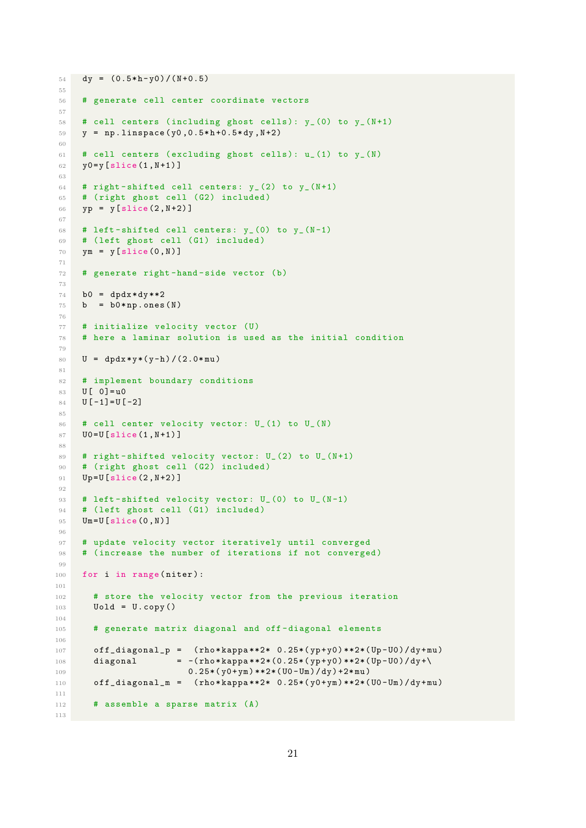```
54 dy = (0.5*h-y0)/(N+0.5)5556 # generate cell center coordinate vectors
57
58 # cell centers (including ghost cells): y_-(0) to y_-(N+1)59 y = np. linspace (y0, 0.5*h+0.5*dy, N+2)60
61 # cell centers (excluding ghost cells): u_-(1) to y_-(N)62 y0 = y \left[ \text{slice} (1, N + 1) \right]63
64 # right-shifted cell centers: y_-(2) to y_-(N+1)65 # ( right ghost cell (G2) included )
66 yp = y [ slice (2 , N +2) ]
67
68 # left-shifted cell centers: v_-(0) to v_-(N-1)69 # ( left ghost cell (G1) included )
70 ym = y [slice (0, N)]
71
72 # generate right -hand - side vector (b)
73
74 b0 = dpdx * dy * * 2
75 b = b0*np.ones (N)
76
77 # initialize velocity vector (U)
78 # here a laminar solution is used as the initial condition
79
80 U = dy dx * y * (y - h) / (2.0 * mu)81
82 # implement boundary conditions
83 U[ 0] = u0
84 U[-1] = U[-2]85
86 # cell center velocity vector: U_(1) to U_(N)
87 U0= U [ slice (1, N + 1) ]
88
89 # right-shifted velocity vector: U_(2) to U_(N+1)
90 # (right ghost cell (G2) included)
91 Up=U [slice (2, N+2)]
92
93 # left-shifted velocity vector: U_(0) to U_(N-1)
94 # (left ghost cell (G1) included)
95 Um=U [slice (0, N)]
96
97 # update velocity vector iteratively until converged
98 # (increase the number of iterations if not converged)
99
100 for i in range (niter):
101
102 # store the velocity vector from the previous iteration
103 Uold = U.copy()
104
105 # generate matrix diagonal and off - diagonal elements
106
107 off_diagonal_p = (rho*kappa**2* 0.25*(yp+ y0)**2*(Up-U0)/dy+mu)108 diagonal = -(\text{rho*kappa**2*(0.25*(yp+y0)**2*(Up-U0)/dy+)}109 0.25*(y0+ym)**2*(U0-Um)/dy)+2*mu)110 off\_diagonal_m = (rho * kappa * 2 * 0.25 * (y0 + ym) * * 2 * (U0 - Um) / dy + mu)111
112 # assemble a sparse matrix (A)
113
```